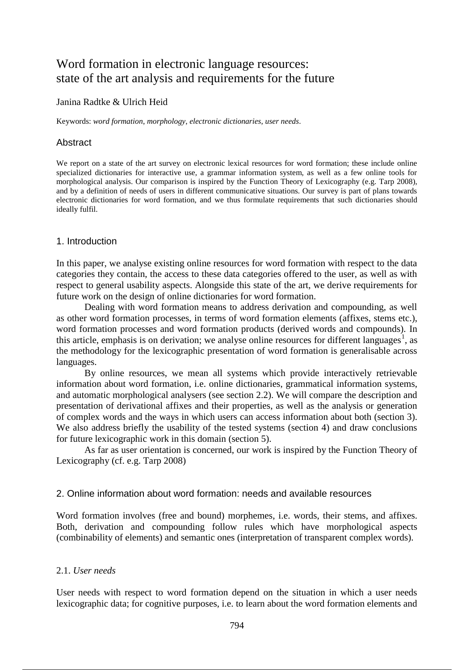# Word formation in electronic language resources: state of the art analysis and requirements for the future

## Janina Radtke & Ulrich Heid

Keywords: *word formation*, *morphology*, *electronic dictionaries*, *user needs*.

# Abstract

We report on a state of the art survey on electronic lexical resources for word formation; these include online specialized dictionaries for interactive use, a grammar information system, as well as a few online tools for morphological analysis. Our comparison is inspired by the Function Theory of Lexicography (e.g. Tarp 2008), and by a definition of needs of users in different communicative situations. Our survey is part of plans towards electronic dictionaries for word formation, and we thus formulate requirements that such dictionaries should ideally fulfil.

## 1. Introduction

In this paper, we analyse existing online resources for word formation with respect to the data categories they contain, the access to these data categories offered to the user, as well as with respect to general usability aspects. Alongside this state of the art, we derive requirements for future work on the design of online dictionaries for word formation.

Dealing with word formation means to address derivation and compounding, as well as other word formation processes, in terms of word formation elements (affixes, stems etc.), word formation processes and word formation products (derived words and compounds). In this article, emphasis is on derivation; we analyse online resources for different languages<sup>1</sup>, as the methodology for the lexicographic presentation of word formation is generalisable across languages.

By online resources, we mean all systems which provide interactively retrievable information about word formation, i.e. online dictionaries, grammatical information systems, and automatic morphological analysers (see section 2.2). We will compare the description and presentation of derivational affixes and their properties, as well as the analysis or generation of complex words and the ways in which users can access information about both (section 3). We also address briefly the usability of the tested systems (section 4) and draw conclusions for future lexicographic work in this domain (section 5).

As far as user orientation is concerned, our work is inspired by the Function Theory of Lexicography (cf. e.g. Tarp 2008)

# 2. Online information about word formation: needs and available resources

Word formation involves (free and bound) morphemes, i.e. words, their stems, and affixes. Both, derivation and compounding follow rules which have morphological aspects (combinability of elements) and semantic ones (interpretation of transparent complex words).

# 2.1. *User needs*

User needs with respect to word formation depend on the situation in which a user needs lexicographic data; for cognitive purposes, i.e. to learn about the word formation elements and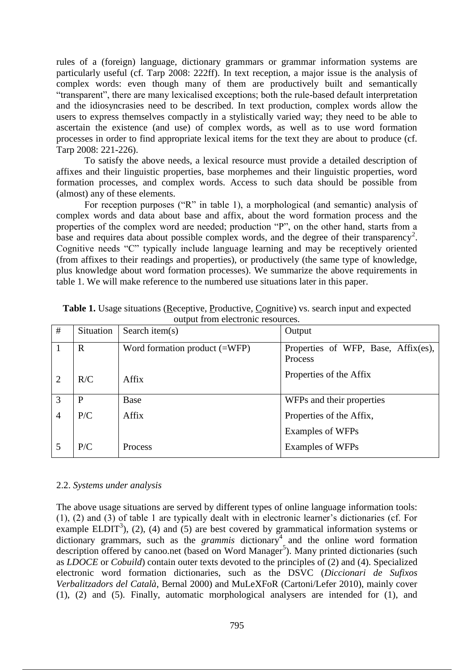rules of a (foreign) language, dictionary grammars or grammar information systems are particularly useful (cf. Tarp 2008: 222ff). In text reception, a major issue is the analysis of complex words: even though many of them are productively built and semantically "transparent", there are many lexicalised exceptions; both the rule-based default interpretation and the idiosyncrasies need to be described. In text production, complex words allow the users to express themselves compactly in a stylistically varied way; they need to be able to ascertain the existence (and use) of complex words, as well as to use word formation processes in order to find appropriate lexical items for the text they are about to produce (cf. Tarp 2008: 221-226).

To satisfy the above needs, a lexical resource must provide a detailed description of affixes and their linguistic properties, base morphemes and their linguistic properties, word formation processes, and complex words. Access to such data should be possible from (almost) any of these elements.

For reception purposes ("R" in table 1), a morphological (and semantic) analysis of complex words and data about base and affix, about the word formation process and the properties of the complex word are needed; production "P", on the other hand, starts from a base and requires data about possible complex words, and the degree of their transparency<sup>2</sup>. Cognitive needs "C" typically include language learning and may be receptively oriented (from affixes to their readings and properties), or productively (the same type of knowledge, plus knowledge about word formation processes). We summarize the above requirements in table 1. We will make reference to the numbered use situations later in this paper.

| #              | Situation   | Search item $(s)$                      | Output                                         |
|----------------|-------------|----------------------------------------|------------------------------------------------|
|                | $\mathbf R$ | Word formation product $(=\text{WFP})$ | Properties of WFP, Base, Affix(es),<br>Process |
| <sup>2</sup>   | R/C         | Affix                                  | Properties of the Affix                        |
| 3              | P           | Base                                   | WFPs and their properties                      |
| $\overline{4}$ | P/C         | Affix                                  | Properties of the Affix,                       |
|                |             |                                        | Examples of WFPs                               |
|                | P/C         | <b>Process</b>                         | Examples of WFPs                               |

**Table 1.** Usage situations (Receptive, Productive, Cognitive) vs. search input and expected output from electronic resources.

#### 2.2. *Systems under analysis*

The above usage situations are served by different types of online language information tools: (1), (2) and (3) of table 1 are typically dealt with in electronic learner's dictionaries (cf. For example ELDIT<sup>3</sup>), (2), (4) and (5) are best covered by grammatical information systems or  $dictionary grammars, such as the *grammis* dictionary<sup>4</sup> and the online word formation$ description offered by canoo.net (based on Word Manager<sup>5</sup>). Many printed dictionaries (such as *LDOCE* or *Cobuild*) contain outer texts devoted to the principles of (2) and (4). Specialized electronic word formation dictionaries, such as the DSVC (*Diccionari de Sufixos Verbalitzadors del Català*, Bernal 2000) and MuLeXFoR (Cartoni/Lefer 2010), mainly cover (1), (2) and (5). Finally, automatic morphological analysers are intended for (1), and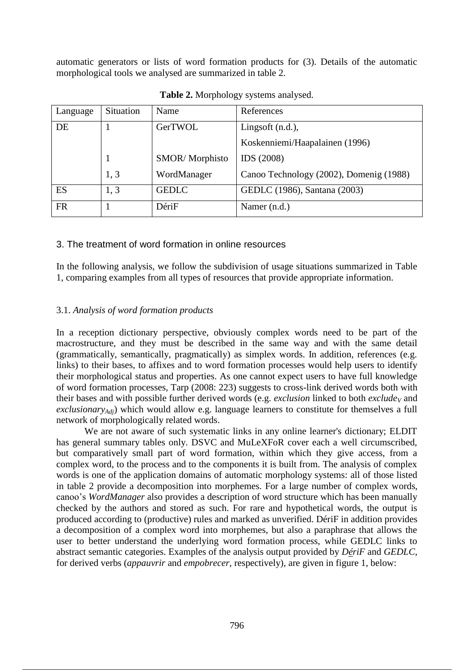automatic generators or lists of word formation products for (3). Details of the automatic morphological tools we analysed are summarized in table 2.

| Language  | Situation | Name                  | References                              |
|-----------|-----------|-----------------------|-----------------------------------------|
| DE        |           | GerTWOL               | Lingsoft $(n.d.).$                      |
|           |           |                       | Koskenniemi/Haapalainen (1996)          |
|           |           | <b>SMOR/Morphisto</b> | IDS (2008)                              |
|           | 1, 3      | WordManager           | Canoo Technology (2002), Domenig (1988) |
| ES        | 1, 3      | <b>GEDLC</b>          | GEDLC (1986), Santana (2003)            |
| <b>FR</b> |           | DériF                 | Namer (n.d.)                            |

**Table 2.** Morphology systems analysed.

# 3. The treatment of word formation in online resources

In the following analysis, we follow the subdivision of usage situations summarized in Table 1, comparing examples from all types of resources that provide appropriate information.

## 3.1. *Analysis of word formation products*

In a reception dictionary perspective, obviously complex words need to be part of the macrostructure, and they must be described in the same way and with the same detail (grammatically, semantically, pragmatically) as simplex words. In addition, references (e.g. links) to their bases, to affixes and to word formation processes would help users to identify their morphological status and properties. As one cannot expect users to have full knowledge of word formation processes, Tarp (2008: 223) suggests to cross-link derived words both with their bases and with possible further derived words (e.g. *exclusion* linked to both *exclude<sup>V</sup>* and *exclusionaryAdj*) which would allow e.g. language learners to constitute for themselves a full network of morphologically related words.

We are not aware of such systematic links in any online learner's dictionary; ELDIT has general summary tables only. DSVC and MuLeXFoR cover each a well circumscribed, but comparatively small part of word formation, within which they give access, from a complex word, to the process and to the components it is built from. The analysis of complex words is one of the application domains of automatic morphology systems: all of those listed in table 2 provide a decomposition into morphemes. For a large number of complex words, canoo's *WordManager* also provides a description of word structure which has been manually checked by the authors and stored as such. For rare and hypothetical words, the output is produced according to (productive) rules and marked as unverified. DériF in addition provides a decomposition of a complex word into morphemes, but also a paraphrase that allows the user to better understand the underlying word formation process, while GEDLC links to abstract semantic categories. Examples of the analysis output provided by *DériF* and *GEDLC*, for derived verbs (*appauvrir* and *empobrecer*, respectively), are given in figure 1, below: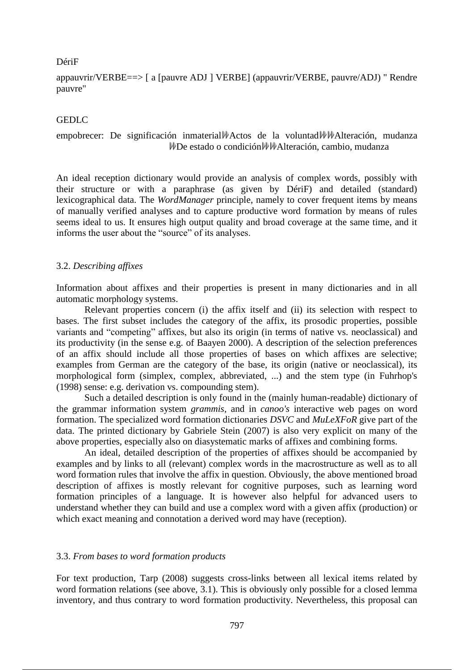#### DériF

appauvrir/VERBE==> [ a [pauvre ADJ ] VERBE] (appauvrir/VERBE, pauvre/ADJ) " Rendre pauvre"

#### GEDLC

## empobrecer: De significación inmaterial  $\mathcal{W}$ Actos de la voluntad  $\mathcal{W}$  Malteración, mudanza WDe estado o condición WMAlteración, cambio, mudanza

An ideal reception dictionary would provide an analysis of complex words, possibly with their structure or with a paraphrase (as given by DériF) and detailed (standard) lexicographical data. The *WordManager* principle, namely to cover frequent items by means of manually verified analyses and to capture productive word formation by means of rules seems ideal to us. It ensures high output quality and broad coverage at the same time, and it informs the user about the "source" of its analyses.

#### 3.2. *Describing affixes*

Information about affixes and their properties is present in many dictionaries and in all automatic morphology systems.

Relevant properties concern (i) the affix itself and (ii) its selection with respect to bases. The first subset includes the category of the affix, its prosodic properties, possible variants and "competing" affixes, but also its origin (in terms of native vs. neoclassical) and its productivity (in the sense e.g. of Baayen 2000). A description of the selection preferences of an affix should include all those properties of bases on which affixes are selective; examples from German are the category of the base, its origin (native or neoclassical), its morphological form (simplex, complex, abbreviated, ...) and the stem type (in Fuhrhop's (1998) sense: e.g. derivation vs. compounding stem).

Such a detailed description is only found in the (mainly human-readable) dictionary of the grammar information system *grammis,* and in *canoo's* interactive web pages on word formation. The specialized word formation dictionaries *DSVC* and *MuLeXFoR* give part of the data. The printed dictionary by Gabriele Stein (2007) is also very explicit on many of the above properties, especially also on diasystematic marks of affixes and combining forms.

An ideal, detailed description of the properties of affixes should be accompanied by examples and by links to all (relevant) complex words in the macrostructure as well as to all word formation rules that involve the affix in question. Obviously, the above mentioned broad description of affixes is mostly relevant for cognitive purposes, such as learning word formation principles of a language. It is however also helpful for advanced users to understand whether they can build and use a complex word with a given affix (production) or which exact meaning and connotation a derived word may have (reception).

#### 3.3. *From bases to word formation products*

For text production, Tarp (2008) suggests cross-links between all lexical items related by word formation relations (see above, 3.1). This is obviously only possible for a closed lemma inventory, and thus contrary to word formation productivity. Nevertheless, this proposal can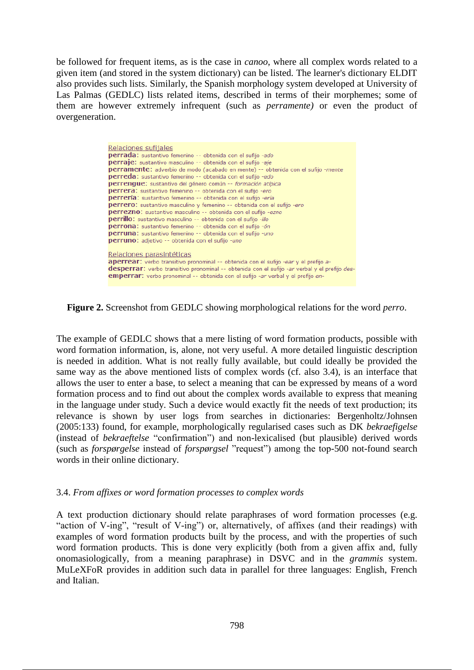be followed for frequent items, as is the case in *canoo*, where all complex words related to a given item (and stored in the system dictionary) can be listed. The learner's dictionary ELDIT also provides such lists. Similarly, the Spanish morphology system developed at University of Las Palmas (GEDLC) lists related items, described in terms of their morphemes; some of them are however extremely infrequent (such as *perramente)* or even the product of overgeneration.

| Relaciones sufijales                                                                                 |  |  |  |  |
|------------------------------------------------------------------------------------------------------|--|--|--|--|
| <b>perrada:</b> sustantivo femenino -- obtenida con el sufijo -ado                                   |  |  |  |  |
| <b>perraje:</b> sustantivo masculino -- obtenida con el sufijo -aje                                  |  |  |  |  |
| <b>perramente:</b> adverbio de modo (acabado en mente) -- obtenida con el sufijo -mente              |  |  |  |  |
| perreda: sustantivo femenino -- obtenida con el sufijo -edo                                          |  |  |  |  |
| <b>perrengue:</b> sustantivo del género común -- formación atípica                                   |  |  |  |  |
| <b>perrera:</b> sustantivo femenino -- obtenida con el sufijo -ero                                   |  |  |  |  |
| perrería: sustantivo femenino -- obtenida con el sufijo -ería                                        |  |  |  |  |
| <b>perrero:</b> sustantivo masculino y femenino -- obtenida con el sufijo -ero                       |  |  |  |  |
| <b>perrezno:</b> sustantivo masculino -- obtenida con el sufijo -ezno                                |  |  |  |  |
| <b>perrillo:</b> sustantivo masculino -- obtenida con el sufijo -illo                                |  |  |  |  |
| <b>perrona:</b> sustantivo femenino -- obtenida con el sufijo -ón                                    |  |  |  |  |
| perruna: sustantivo femenino -- obtenida con el sufijo -uno                                          |  |  |  |  |
| <b>perruno:</b> adjetivo -- obtenida con el sufijo -uno                                              |  |  |  |  |
|                                                                                                      |  |  |  |  |
| Relaciones parasintéticas                                                                            |  |  |  |  |
| aperrear: verbo transitivo pronominal -- obtenida con el sufijo -ear y el prefijo a-                 |  |  |  |  |
| <b>desperrar:</b> verbo transitivo pronominal -- obtenida con el sufijo -ar verbal y el prefijo des- |  |  |  |  |
| <b>emperrar:</b> verbo pronominal -- obtenida con el sufijo -ar verbal y el prefijo en-              |  |  |  |  |

**Figure 2.** Screenshot from GEDLC showing morphological relations for the word *perro*.

The example of GEDLC shows that a mere listing of word formation products, possible with word formation information, is, alone, not very useful. A more detailed linguistic description is needed in addition. What is not really fully available, but could ideally be provided the same way as the above mentioned lists of complex words (cf. also 3.4), is an interface that allows the user to enter a base, to select a meaning that can be expressed by means of a word formation process and to find out about the complex words available to express that meaning in the language under study. Such a device would exactly fit the needs of text production; its relevance is shown by user logs from searches in dictionaries: Bergenholtz/Johnsen (2005:133) found, for example, morphologically regularised cases such as DK *bekraefigelse*  (instead of *bekraeftelse* "confirmation") and non-lexicalised (but plausible) derived words (such as *forspørgelse* instead of *forspørgsel* "request") among the top-500 not-found search words in their online dictionary.

## 3.4. *From affixes or word formation processes to complex words*

A text production dictionary should relate paraphrases of word formation processes (e.g. "action of V-ing", "result of V-ing") or, alternatively, of affixes (and their readings) with examples of word formation products built by the process, and with the properties of such word formation products. This is done very explicitly (both from a given affix and, fully onomasiologically, from a meaning paraphrase) in DSVC and in the *grammis* system. MuLeXFoR provides in addition such data in parallel for three languages: English, French and Italian.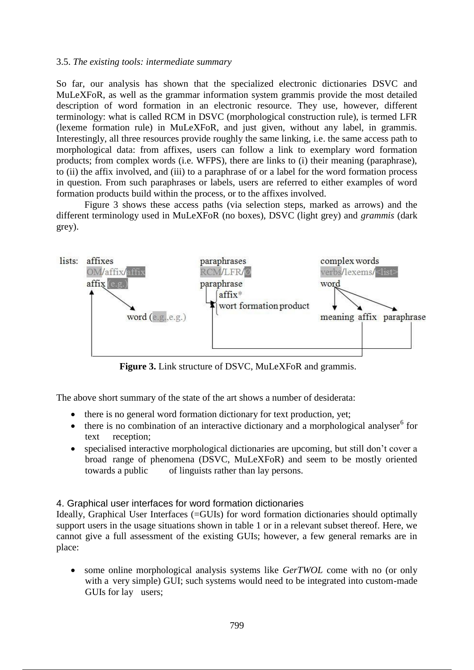## 3.5. *The existing tools: intermediate summary*

So far, our analysis has shown that the specialized electronic dictionaries DSVC and MuLeXFoR, as well as the grammar information system grammis provide the most detailed description of word formation in an electronic resource. They use, however, different terminology: what is called RCM in DSVC (morphological construction rule), is termed LFR (lexeme formation rule) in MuLeXFoR, and just given, without any label, in grammis. Interestingly, all three resources provide roughly the same linking, i.e. the same access path to morphological data: from affixes, users can follow a link to exemplary word formation products; from complex words (i.e. WFPS), there are links to (i) their meaning (paraphrase), to (ii) the affix involved, and (iii) to a paraphrase of or a label for the word formation process in question. From such paraphrases or labels, users are referred to either examples of word formation products build within the process, or to the affixes involved.

Figure 3 shows these access paths (via selection steps, marked as arrows) and the different terminology used in MuLeXFoR (no boxes), DSVC (light grey) and *grammis* (dark grey).



**Figure 3.** Link structure of DSVC, MuLeXFoR and grammis.

The above short summary of the state of the art shows a number of desiderata:

- there is no general word formation dictionary for text production, yet;
- $\bullet$  there is no combination of an interactive dictionary and a morphological analyser<sup>6</sup> for text reception;
- specialised interactive morphological dictionaries are upcoming, but still don't cover a broad range of phenomena (DSVC, MuLeXFoR) and seem to be mostly oriented towards a public of linguists rather than lay persons.

## 4. Graphical user interfaces for word formation dictionaries

Ideally, Graphical User Interfaces (=GUIs) for word formation dictionaries should optimally support users in the usage situations shown in table 1 or in a relevant subset thereof. Here, we cannot give a full assessment of the existing GUIs; however, a few general remarks are in place:

 some online morphological analysis systems like *GerTWOL* come with no (or only with a very simple) GUI; such systems would need to be integrated into custom-made GUIs for lay users;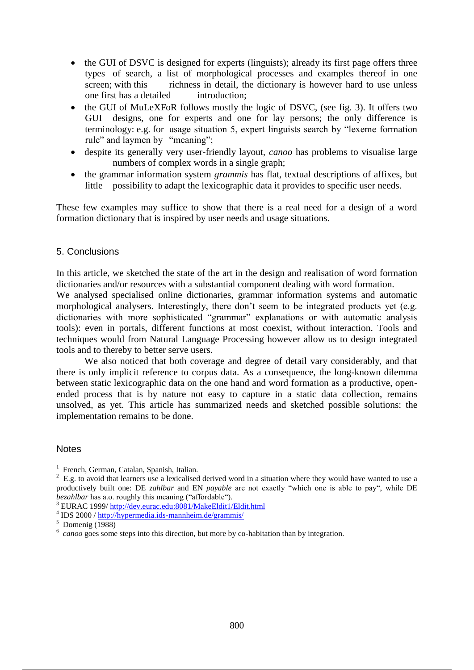- the GUI of DSVC is designed for experts (linguists); already its first page offers three types of search, a list of morphological processes and examples thereof in one screen; with this richness in detail, the dictionary is however hard to use unless one first has a detailed introduction;
- the GUI of MuLeXFoR follows mostly the logic of DSVC, (see fig. 3). It offers two GUI designs, one for experts and one for lay persons; the only difference is terminology: e.g. for usage situation 5, expert linguists search by "lexeme formation rule" and laymen by "meaning";
- despite its generally very user-friendly layout, *canoo* has problems to visualise large numbers of complex words in a single graph;
- the grammar information system *grammis* has flat, textual descriptions of affixes, but little possibility to adapt the lexicographic data it provides to specific user needs.

These few examples may suffice to show that there is a real need for a design of a word formation dictionary that is inspired by user needs and usage situations.

## 5. Conclusions

In this article, we sketched the state of the art in the design and realisation of word formation dictionaries and/or resources with a substantial component dealing with word formation. We analysed specialised online dictionaries, grammar information systems and automatic morphological analysers. Interestingly, there don't seem to be integrated products yet (e.g. dictionaries with more sophisticated "grammar" explanations or with automatic analysis tools): even in portals, different functions at most coexist, without interaction. Tools and techniques would from Natural Language Processing however allow us to design integrated tools and to thereby to better serve users.

We also noticed that both coverage and degree of detail vary considerably, and that there is only implicit reference to corpus data. As a consequence, the long-known dilemma between static lexicographic data on the one hand and word formation as a productive, openended process that is by nature not easy to capture in a static data collection, remains unsolved, as yet. This article has summarized needs and sketched possible solutions: the implementation remains to be done.

## **Notes**

<sup>3</sup> EURAC 1999/ http://dev.eurac.edu:8081/MakeEldit1/Eldit.html

<sup>&</sup>lt;sup>1</sup> French, German, Catalan, Spanish, Italian.

 $2^{2}$  E.g. to avoid that learners use a lexicalised derived word in a situation where they would have wanted to use a productively built one: DE *zahlbar* and EN *payable* are not exactly "which one is able to pay", while DE *bezahlbar* has a.o. roughly this meaning ("affordable").

<sup>&</sup>lt;sup>4</sup> IDS 2000 / http://hypermedia.ids-mannheim.de/grammis/

 $5$  Domenig (1988)

<sup>&</sup>lt;sup>6</sup> *canoo* goes some steps into this direction, but more by co-habitation than by integration.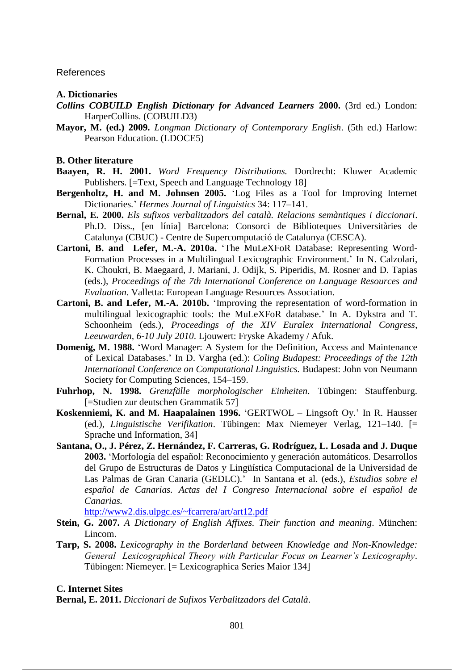References

#### **A. Dictionaries**

- *Collins COBUILD English Dictionary for Advanced Learners* **2000.** (3rd ed.) London: HarperCollins. (COBUILD3)
- **Mayor, M. (ed.) 2009.** *Longman Dictionary of Contemporary English*. (5th ed.) Harlow: Pearson Education. (LDOCE5)

#### **B. Other literature**

- **Baayen, R. H. 2001.** *Word Frequency Distributions.* Dordrecht: Kluwer Academic Publishers. [=Text, Speech and Language Technology 18]
- **Bergenholtz, H. and M. Johnsen 2005.** 'Log Files as a Tool for Improving Internet Dictionaries*.*' *Hermes Journal of Linguistics* 34: 117–141.
- **Bernal, E. 2000.** *Els sufixos verbalitzadors del català. Relacions semàntiques i diccionari*. Ph.D. Diss., [en línia] Barcelona: Consorci de Biblioteques Universitàries de Catalunya (CBUC) - Centre de Supercomputació de Catalunya (CESCA).
- **Cartoni, B. and Lefer, M.-A. 2010a.** 'The MuLeXFoR Database: Representing Word-Formation Processes in a Multilingual Lexicographic Environment.' In N. Calzolari, K. Choukri, B. Maegaard, J. Mariani, J. Odijk, S. Piperidis, M. Rosner and D. Tapias (eds.), *Proceedings of the 7th International Conference on Language Resources and Evaluation*. Valletta: European Language Resources Association.
- **Cartoni, B. and Lefer, M.-A. 2010b.** 'Improving the representation of word-formation in multilingual lexicographic tools: the MuLeXFoR database.' In A. Dykstra and T. Schoonheim (eds.), *Proceedings of the XIV Euralex International Congress*, *Leeuwarden, 6-10 July 2010*. Ljouwert: Fryske Akademy / Afuk.
- **Domenig, M. 1988.** 'Word Manager: A System for the Definition, Access and Maintenance of Lexical Databases.' In D. Vargha (ed.): *Coling Budapest: Proceedings of the 12th International Conference on Computational Linguistics.* Budapest: John von Neumann Society for Computing Sciences, 154–159.
- **Fuhrhop, N. 1998.** *Grenzfälle morphologischer Einheiten*. Tübingen: Stauffenburg. [=Studien zur deutschen Grammatik 57]
- **Koskenniemi, K. and M. Haapalainen 1996.** 'GERTWOL Lingsoft Oy.' In R. Hausser (ed.), *Linguistische Verifikation*. Tübingen: Max Niemeyer Verlag, 121–140. [= Sprache und Information, 34]
- **Santana, O., J. Pérez, Z. Hernández, F. Carreras, G. Rodríguez, L. Losada and J. Duque 2003.** 'Morfología del español: Reconocimiento y generación automáticos. Desarrollos del Grupo de Estructuras de Datos y Lingüística Computacional de la Universidad de Las Palmas de Gran Canaria (GEDLC).' In Santana et al. (eds.), *Estudios sobre el español de Canarias. Actas del I Congreso Internacional sobre el español de Canarias.*

http://www2.dis.ulpgc.es/~fcarrera/art/art12.pdf

- **Stein, G. 2007.** *A Dictionary of English Affixes. Their function and meaning*. München: Lincom.
- **Tarp, S. 2008.** *Lexicography in the Borderland between Knowledge and Non-Knowledge: General Lexicographical Theory with Particular Focus on Learner's Lexicography*. Tübingen: Niemeyer. [= Lexicographica Series Maior 134]

#### **C. Internet Sites**

**Bernal, E. 2011.** *Diccionari de Sufixos Verbalitzadors del Català*.